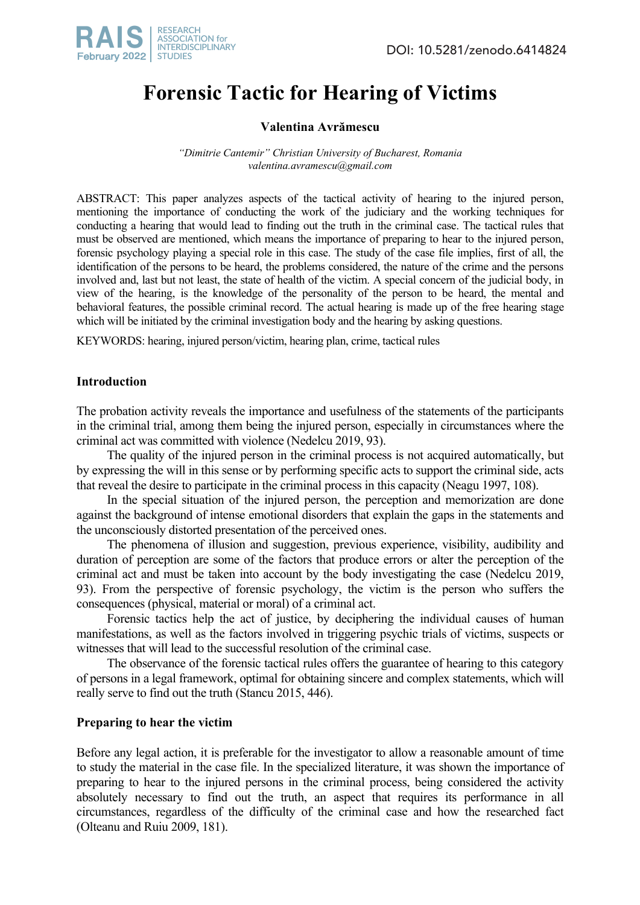

# **Forensic Tactic for Hearing of Victims**

## **Valentina Avrămescu**

*"Dimitrie Cantemir" Christian University of Bucharest, Romania valentina.avramescu@gmail.com*

ABSTRACT: This paper analyzes aspects of the tactical activity of hearing to the injured person, mentioning the importance of conducting the work of the judiciary and the working techniques for conducting a hearing that would lead to finding out the truth in the criminal case. The tactical rules that must be observed are mentioned, which means the importance of preparing to hear to the injured person, forensic psychology playing a special role in this case. The study of the case file implies, first of all, the identification of the persons to be heard, the problems considered, the nature of the crime and the persons involved and, last but not least, the state of health of the victim. A special concern of the judicial body, in view of the hearing, is the knowledge of the personality of the person to be heard, the mental and behavioral features, the possible criminal record. The actual hearing is made up of the free hearing stage which will be initiated by the criminal investigation body and the hearing by asking questions.

KEYWORDS: hearing, injured person/victim, hearing plan, crime, tactical rules

## **Introduction**

The probation activity reveals the importance and usefulness of the statements of the participants in the criminal trial, among them being the injured person, especially in circumstances where the criminal act was committed with violence (Nedelcu 2019, 93).

The quality of the injured person in the criminal process is not acquired automatically, but by expressing the will in this sense or by performing specific acts to support the criminal side, acts that reveal the desire to participate in the criminal process in this capacity (Neagu 1997, 108).

In the special situation of the injured person, the perception and memorization are done against the background of intense emotional disorders that explain the gaps in the statements and the unconsciously distorted presentation of the perceived ones.

The phenomena of illusion and suggestion, previous experience, visibility, audibility and duration of perception are some of the factors that produce errors or alter the perception of the criminal act and must be taken into account by the body investigating the case (Nedelcu 2019, 93). From the perspective of forensic psychology, the victim is the person who suffers the consequences (physical, material or moral) of a criminal act.

Forensic tactics help the act of justice, by deciphering the individual causes of human manifestations, as well as the factors involved in triggering psychic trials of victims, suspects or witnesses that will lead to the successful resolution of the criminal case.

The observance of the forensic tactical rules offers the guarantee of hearing to this category of persons in a legal framework, optimal for obtaining sincere and complex statements, which will really serve to find out the truth (Stancu 2015, 446).

## **Preparing to hear the victim**

Before any legal action, it is preferable for the investigator to allow a reasonable amount of time to study the material in the case file. In the specialized literature, it was shown the importance of preparing to hear to the injured persons in the criminal process, being considered the activity absolutely necessary to find out the truth, an aspect that requires its performance in all circumstances, regardless of the difficulty of the criminal case and how the researched fact (Olteanu and Ruiu 2009, 181).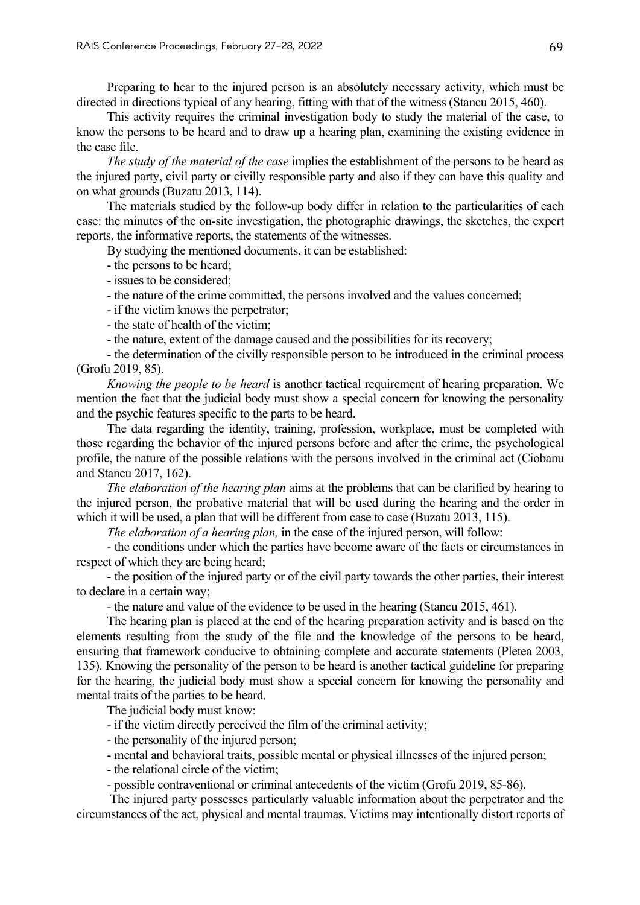Preparing to hear to the injured person is an absolutely necessary activity, which must be directed in directions typical of any hearing, fitting with that of the witness (Stancu 2015, 460).

This activity requires the criminal investigation body to study the material of the case, to know the persons to be heard and to draw up a hearing plan, examining the existing evidence in the case file.

*The study of the material of the case* implies the establishment of the persons to be heard as the injured party, civil party or civilly responsible party and also if they can have this quality and on what grounds (Buzatu 2013, 114).

The materials studied by the follow-up body differ in relation to the particularities of each case: the minutes of the on-site investigation, the photographic drawings, the sketches, the expert reports, the informative reports, the statements of the witnesses.

By studying the mentioned documents, it can be established:

- the persons to be heard;
- issues to be considered;
- the nature of the crime committed, the persons involved and the values concerned;
- if the victim knows the perpetrator;
- the state of health of the victim;
- the nature, extent of the damage caused and the possibilities for its recovery;

- the determination of the civilly responsible person to be introduced in the criminal process (Grofu 2019, 85).

*Knowing the people to be heard* is another tactical requirement of hearing preparation. We mention the fact that the judicial body must show a special concern for knowing the personality and the psychic features specific to the parts to be heard.

The data regarding the identity, training, profession, workplace, must be completed with those regarding the behavior of the injured persons before and after the crime, the psychological profile, the nature of the possible relations with the persons involved in the criminal act (Ciobanu and Stancu 2017, 162).

*The elaboration of the hearing plan* aims at the problems that can be clarified by hearing to the injured person, the probative material that will be used during the hearing and the order in which it will be used, a plan that will be different from case to case (Buzatu 2013, 115).

*The elaboration of a hearing plan,* in the case of the injured person, will follow:

- the conditions under which the parties have become aware of the facts or circumstances in respect of which they are being heard;

- the position of the injured party or of the civil party towards the other parties, their interest to declare in a certain way;

- the nature and value of the evidence to be used in the hearing (Stancu 2015, 461).

The hearing plan is placed at the end of the hearing preparation activity and is based on the elements resulting from the study of the file and the knowledge of the persons to be heard, ensuring that framework conducive to obtaining complete and accurate statements (Pletea 2003, 135). Knowing the personality of the person to be heard is another tactical guideline for preparing for the hearing, the judicial body must show a special concern for knowing the personality and mental traits of the parties to be heard.

The judicial body must know:

- if the victim directly perceived the film of the criminal activity;
- the personality of the injured person;
- mental and behavioral traits, possible mental or physical illnesses of the injured person;
- the relational circle of the victim;
- possible contraventional or criminal antecedents of the victim (Grofu 2019, 85-86).

The injured party possesses particularly valuable information about the perpetrator and the circumstances of the act, physical and mental traumas. Victims may intentionally distort reports of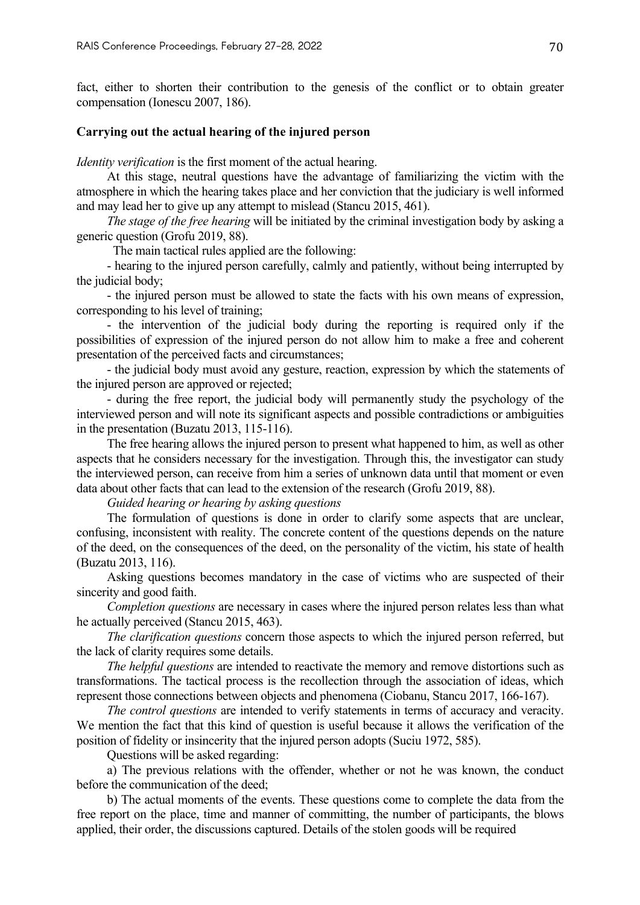fact, either to shorten their contribution to the genesis of the conflict or to obtain greater compensation (Ionescu 2007, 186).

#### **Carrying out the actual hearing of the injured person**

*Identity verification* is the first moment of the actual hearing.

At this stage, neutral questions have the advantage of familiarizing the victim with the atmosphere in which the hearing takes place and her conviction that the judiciary is well informed and may lead her to give up any attempt to mislead (Stancu 2015, 461).

*The stage of the free hearing* will be initiated by the criminal investigation body by asking a generic question (Grofu 2019, 88).

The main tactical rules applied are the following:

- hearing to the injured person carefully, calmly and patiently, without being interrupted by the judicial body;

- the injured person must be allowed to state the facts with his own means of expression, corresponding to his level of training;

- the intervention of the judicial body during the reporting is required only if the possibilities of expression of the injured person do not allow him to make a free and coherent presentation of the perceived facts and circumstances;

- the judicial body must avoid any gesture, reaction, expression by which the statements of the injured person are approved or rejected;

- during the free report, the judicial body will permanently study the psychology of the interviewed person and will note its significant aspects and possible contradictions or ambiguities in the presentation (Buzatu 2013, 115-116).

The free hearing allows the injured person to present what happened to him, as well as other aspects that he considers necessary for the investigation. Through this, the investigator can study the interviewed person, can receive from him a series of unknown data until that moment or even data about other facts that can lead to the extension of the research (Grofu 2019, 88).

*Guided hearing or hearing by asking questions*

The formulation of questions is done in order to clarify some aspects that are unclear, confusing, inconsistent with reality. The concrete content of the questions depends on the nature of the deed, on the consequences of the deed, on the personality of the victim, his state of health (Buzatu 2013, 116).

Asking questions becomes mandatory in the case of victims who are suspected of their sincerity and good faith.

*Completion questions* are necessary in cases where the injured person relates less than what he actually perceived (Stancu 2015, 463).

*The clarification questions* concern those aspects to which the injured person referred, but the lack of clarity requires some details.

*The helpful questions* are intended to reactivate the memory and remove distortions such as transformations. The tactical process is the recollection through the association of ideas, which represent those connections between objects and phenomena (Ciobanu, Stancu 2017, 166-167).

*The control questions* are intended to verify statements in terms of accuracy and veracity. We mention the fact that this kind of question is useful because it allows the verification of the position of fidelity or insincerity that the injured person adopts (Suciu 1972, 585).

Questions will be asked regarding:

a) The previous relations with the offender, whether or not he was known, the conduct before the communication of the deed;

b) The actual moments of the events. These questions come to complete the data from the free report on the place, time and manner of committing, the number of participants, the blows applied, their order, the discussions captured. Details of the stolen goods will be required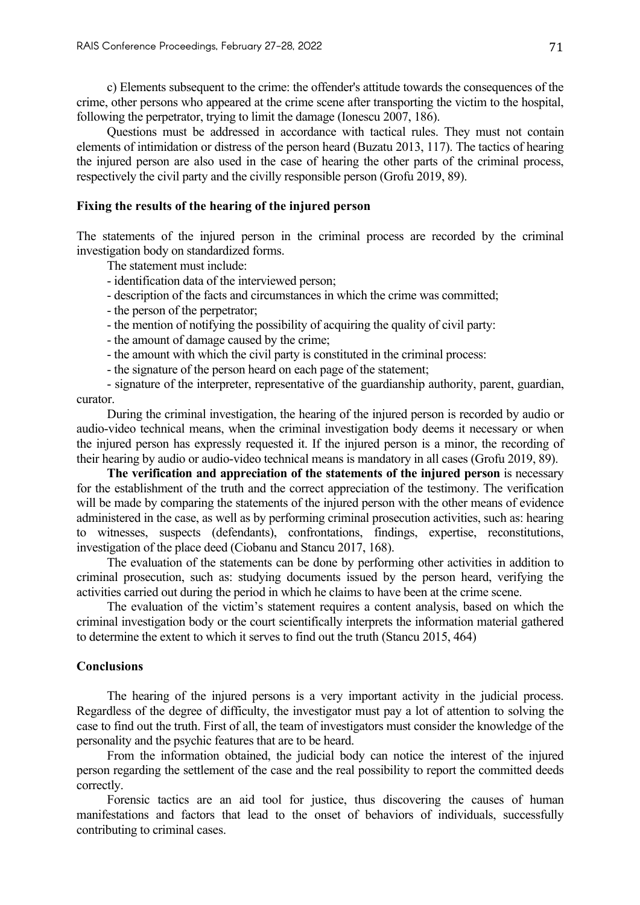c) Elements subsequent to the crime: the offender's attitude towards the consequences of the crime, other persons who appeared at the crime scene after transporting the victim to the hospital, following the perpetrator, trying to limit the damage (Ionescu 2007, 186).

Questions must be addressed in accordance with tactical rules. They must not contain elements of intimidation or distress of the person heard (Buzatu 2013, 117). The tactics of hearing the injured person are also used in the case of hearing the other parts of the criminal process, respectively the civil party and the civilly responsible person (Grofu 2019, 89).

## **Fixing the results of the hearing of the injured person**

The statements of the injured person in the criminal process are recorded by the criminal investigation body on standardized forms.

The statement must include:

- identification data of the interviewed person;
- description of the facts and circumstances in which the crime was committed;
- the person of the perpetrator;
- the mention of notifying the possibility of acquiring the quality of civil party:
- the amount of damage caused by the crime;
- the amount with which the civil party is constituted in the criminal process:
- the signature of the person heard on each page of the statement;

- signature of the interpreter, representative of the guardianship authority, parent, guardian, curator.

During the criminal investigation, the hearing of the injured person is recorded by audio or audio-video technical means, when the criminal investigation body deems it necessary or when the injured person has expressly requested it. If the injured person is a minor, the recording of their hearing by audio or audio-video technical means is mandatory in all cases (Grofu 2019, 89).

**The verification and appreciation of the statements of the injured person** is necessary for the establishment of the truth and the correct appreciation of the testimony. The verification will be made by comparing the statements of the injured person with the other means of evidence administered in the case, as well as by performing criminal prosecution activities, such as: hearing to witnesses, suspects (defendants), confrontations, findings, expertise, reconstitutions, investigation of the place deed (Ciobanu and Stancu 2017, 168).

The evaluation of the statements can be done by performing other activities in addition to criminal prosecution, such as: studying documents issued by the person heard, verifying the activities carried out during the period in which he claims to have been at the crime scene.

The evaluation of the victim's statement requires a content analysis, based on which the criminal investigation body or the court scientifically interprets the information material gathered to determine the extent to which it serves to find out the truth (Stancu 2015, 464)

#### **Conclusions**

The hearing of the injured persons is a very important activity in the judicial process. Regardless of the degree of difficulty, the investigator must pay a lot of attention to solving the case to find out the truth. First of all, the team of investigators must consider the knowledge of the personality and the psychic features that are to be heard.

From the information obtained, the judicial body can notice the interest of the injured person regarding the settlement of the case and the real possibility to report the committed deeds correctly.

Forensic tactics are an aid tool for justice, thus discovering the causes of human manifestations and factors that lead to the onset of behaviors of individuals, successfully contributing to criminal cases.